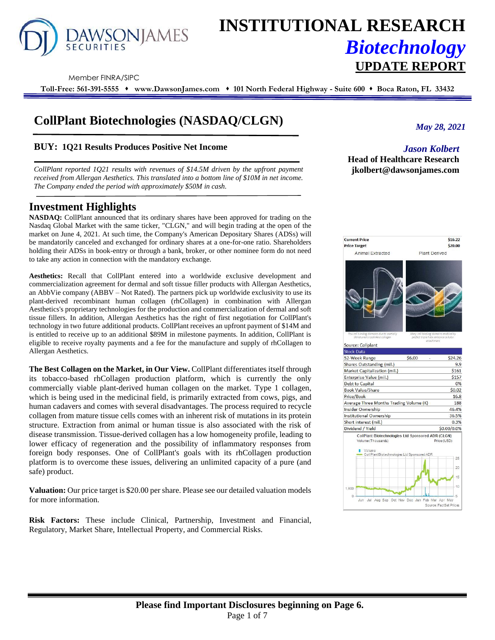

# **INSTITUTIONAL RESEARCH** *Biotechnology* **UPDATE REPORT**

Member FINRA/SIPC

**Toll-Free: 561-391-5555** ⬧ **www.DawsonJames.com** ⬧ **101 North Federal Highway - Suite 600** ⬧ **Boca Raton, FL 33432**

# **CollPlant Biotechnologies (NASDAQ/CLGN)**

# **BUY: 1Q21 Results Produces Positive Net Income**

*CollPlant reported 1Q21 results with revenues of \$14.5M driven by the upfront payment received from Allergan Aesthetics. This translated into a bottom line of \$10M in net income. The Company ended the period with approximately \$50M in cash.*

# **Investment Highlights**

**NASDAQ:** CollPlant announced that its ordinary shares have been approved for trading on the Nasdaq Global Market with the same ticker, "CLGN," and will begin trading at the open of the market on June 4, 2021. At such time, the Company's American Depositary Shares (ADSs) will be mandatorily canceled and exchanged for ordinary shares at a one-for-one ratio. Shareholders holding their ADSs in book-entry or through a bank, broker, or other nominee form do not need to take any action in connection with the mandatory exchange.

**Aesthetics:** Recall that CollPlant entered into a worldwide exclusive development and commercialization agreement for dermal and soft tissue filler products with Allergan Aesthetics, an AbbVie company (ABBV – Not Rated). The partners pick up worldwide exclusivity to use its plant-derived recombinant human collagen (rhCollagen) in combination with Allergan Aesthetics's proprietary technologies for the production and commercialization of dermal and soft tissue fillers. In addition, Allergan Aesthetics has the right of first negotiation for CollPlant's technology in two future additional products. CollPlant receives an upfront payment of \$14M and is entitled to receive up to an additional \$89M in milestone payments. In addition, CollPlant is eligible to receive royalty payments and a fee for the manufacture and supply of rhCollagen to Allergan Aesthetics.

**The Best Collagen on the Market, in Our View.** CollPlant differentiates itself through its tobacco-based rhCollagen production platform, which is currently the only commercially viable plant-derived human collagen on the market. Type 1 collagen, which is being used in the medicinal field, is primarily extracted from cows, pigs, and human cadavers and comes with several disadvantages. The process required to recycle collagen from mature tissue cells comes with an inherent risk of mutations in its protein structure. Extraction from animal or human tissue is also associated with the risk of disease transmission. Tissue-derived collagen has a low homogeneity profile, leading to lower efficacy of regeneration and the possibility of inflammatory responses from foreign body responses. One of CollPlant's goals with its rhCollagen production platform is to overcome these issues, delivering an unlimited capacity of a pure (and safe) product.

**Valuation:** Our price target is \$20.00 per share. Please see our detailed valuation models for more information.

**Risk Factors:** These include Clinical, Partnership, Investment and Financial, Regulatory, Market Share, Intellectual Property, and Commercial Risks.

*May 28, 2021*

# *Jason Kolbert* **Head of Healthcare Research jkolbert@dawsonjames.com**

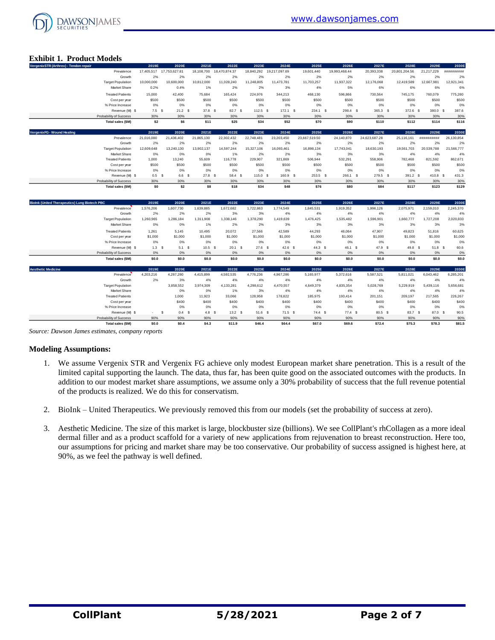

# **Exhibit 1. Product Models**

| VergenixSTR (Arthrex) - Tendon repair                |                          | 2019E            | 2020E                    | 2021E            | 2022E         | 2023E      | 2024E         | 2025E             | 2026E         | 2027E         | 2028E         | 2029E      | 2030E      |
|------------------------------------------------------|--------------------------|------------------|--------------------------|------------------|---------------|------------|---------------|-------------------|---------------|---------------|---------------|------------|------------|
|                                                      | Prevalence               |                  | 17,405,517 17,753,627.81 | 18,108,700       | 18,470,874.37 | 18.840.292 | 19,217,097.69 | 19,601.440        | 19,993,468.44 | 20,393,338    | 20,801,204.56 | 21,217,229 | ########## |
|                                                      | Growth                   | 2%               | 2%                       | 2%               | 2%            | 2%         | 2%            | 2%                | 2%            | 2%            | 2%            | 2%         | 2%         |
|                                                      | <b>Target Population</b> | 10,000,000       | 10,600,000               | 10,812,000       | 11,028,240    | 11,248,805 | 11,473,781    | 11,703,257        | 11,937,322    | 12,176,068    | 12,419,589    | 12.667.981 | 12,921,341 |
|                                                      | Market Share             | 0.2%             | 0.4%                     | 1%               | 2%            | 2%         | 3%            | 4%                | 5%            | 6%            | 6%            | 6%         | 6%         |
|                                                      | <b>Treated Patients</b>  | 15,000           | 42,400                   | 75,684           | 165,424       | 224,976    | 344,213       | 468,130           | 596,866       | 730,564       | 745,175       | 760,079    | 775,280    |
|                                                      | Cost per year            | \$500            | \$500                    | \$500            | \$500         | \$500      | \$500         | \$500             | \$500         | \$500         | \$500         | \$500      | \$500      |
|                                                      | % Price Increase         | 0%               | 0%                       | 0%               | 0%            | 0%         | 0%            | 0%                | 0%            | 0%            | 0%            | 0%         | 0%         |
|                                                      | Revenue (M) \$           | $7.5-5$          | 21.2 <sup>5</sup>        | $37.8-5$         | 82.7 S        | $112.5$ \$ | $172.1$ \$    | 234.1 \$          | 298.4 \$      | 365.3 \$      | 372.6 \$      | 380.0 S    | 387.6      |
|                                                      | Probability of Success   | 30%              | 30%                      | 30%              | 30%           | 30%        | 30%           | 30%               | 30%           | 30%           | 30%           | 30%        | 30%        |
|                                                      | Total sales (\$M)        | \$2              | \$6                      | \$11             | \$25          | \$34       | \$52          | \$70              | \$90          | \$110         | \$112         | \$114      | \$116      |
| VergenixFG - Wound Healing                           |                          | 2019E            | 2020E                    | 2021E            | 2022E         | 2023E      | 2024E         | 2025E             | 2026E         | 2027E         | 2028E         | 2029E      | 2030E      |
|                                                      | Prevalence               | 21,016,080       | 21,436,402               | 21,865,130       | 22,302,432    | 22,748,481 | 23,203,450    | 23,667,519.50     | 24,140,870    | 24,623,687.28 | 25,116,161    | ########## | 26,130,854 |
|                                                      | Growth                   | 2%               | 2%                       | 2%               | 2%            | 2%         | 2%            | 2%                | 2%            | 2%            | 2%            | 2%         | 2%         |
|                                                      | <b>Target Population</b> | 12,609,648       | 13,240,130               | 13,902,137       | 14,597,244    | 15,327,106 | 16,093,461    | 16,898,134        | 17,743,041    | 18,630,193    | 19,561,703    | 20,539,788 | 21,566,777 |
|                                                      | Market Share             | 0%               | 0%                       | 0%               | 1%            | 2%         | 2%            | 3%                | 3%            | 3%            | 4%            | 4%         | 4%         |
|                                                      | <b>Treated Patients</b>  | 1,000            | 13,240                   | 55,609           | 116,778       | 229,907    | 321,869       | 506,944           | 532,291       | 558,906       | 782,468       | 821,592    | 862,671    |
|                                                      | Cost per year            | \$500            | \$500                    | \$500            | \$500         | \$500      | \$500         | \$500             | \$500         | \$500         | \$500         | \$500      | \$500      |
|                                                      | % Price Increase         | 0%               | 0%                       | 0%               | 0%            | 0%         | 0%            | 0%                | 0%            | 0%            | 0%            | 0%         | 0%         |
|                                                      | Revenue (M) \$           | 0.5 <sup>5</sup> | 6.6                      | 27.8 S<br>- S    | 58.4 S        | 115.0 S    | 160.9 \$      | $253.5$ \$        | 266.1 \$      | 279.5 \$      | 391.2 \$      | 410.8 S    | 431.3      |
|                                                      | Probability of Success   | 30%              | 30%                      | 30%              | 30%           | 30%        | 30%           | 30%               | 30%           | 30%           | 30%           | 30%        | 30%        |
|                                                      | Total sales (\$M)        | \$0              | \$2                      | \$8              | \$18          | \$34       | \$48          | \$76              | \$80          | \$84          | \$117         | \$123      | \$129      |
|                                                      |                          |                  |                          |                  |               |            |               |                   |               |               |               |            |            |
| <b>Biolnk (United Therapeutics) Lung Biotech PBC</b> |                          | 2019E            | 2020E                    | 2021E            | 2022E         | 2023E      | 2024E         | 2025E             | 2026E         | 2027E         | 2028E         | 2029E      | 2030E      |
|                                                      | Prevalence               | 1,576,206        | 1,607,730                | 1,639,885        | 1,672,682     | 1,722,863  | 1,774,549     | 1,845,531         | 1,919,352     | 1,996,126     | 2,075,971     | 2,159,010  | 2,245,370  |
|                                                      | Growth                   | 2%               | 2%                       | 2%               | 3%            | 3%         | 4%            | 4%                | 4%            | 4%            | 4%            | 4%         | 4%         |
|                                                      | <b>Target Population</b> | 1,260,965        | 1,286,184                | 1,311,908        | 1,338,146     | 1,378,290  | 1,419,639     | 1,476,425         | 1,535,482     | 1,596,901     | 1,660,777     | 1,727,208  | 2,020,833  |
|                                                      | Market Share             | 0%               | 0%                       | 1%               | 2%            | 2%         | 3%            | 3%                | 3%            | 3%            | 3%            | 3%         | 3%         |
|                                                      | <b>Treated Patients</b>  | 1,261            | 5.145                    | 10,495           | 20,072        | 27.566     | 42,589        | 44.293            | 46,064        | 47,907        | 49,823        | 51,816     | 60,625     |
|                                                      | Cost per year            | \$1,000          | \$1,000                  | \$1,000          | \$1,000       | \$1,000    | \$1,000       | \$1,000           | \$1,000       | \$1,000       | \$1,000       | \$1,000    | \$1,000    |
|                                                      | % Price Increase         | 0%               | 0%                       | 0%               | 0%            | 0%         | 0%            | 0%                | 0%            | 0%            | 0%            | 0%         | 0%         |
|                                                      | Revenue (M) \$           | 1.3 <sup>5</sup> | 5.1 S                    | $10.5$ \$        | 20.1 S        | $27.6$ \$  | $42.6$ \$     | 44.3 <sup>5</sup> | 46.1 \$       | $47.9$ \$     | 49.8 \$       | 51.8 S     | 60.6       |
|                                                      | Probability of Success   | 0%               | 0%                       | 0%               | 0%            | 0%         | 0%            | 0%                | 0%            | 0%            | 0%            | 0%         | $0\%$      |
|                                                      | Total sales (\$M)        | \$0.0            | \$0.0                    | \$0.0            | \$0.0         | \$0.0      | \$0.0         | \$0.0             | \$0.0         | \$0.0         | \$0.0         | \$0.0      | \$0.0      |
| <b>Aesthetic Medicine</b>                            |                          | 2019E            | 2020E                    | 2021E            | 2022E         | 2023E      | 2024E         | 2025E             | 2026E         | 2027E         | 2028E         | 2029E      | 2030E      |
|                                                      | Prevalence               | 4,203,216        | 4,287,280                | 4,415,899        | 4,592,535     | 4,776,236  | 4,967,286     | 5,165,977         | 5,372,616     | 5,587,521     | 5,811,021     | 6,043,462  | 6,285,201  |
|                                                      | Growth                   | 2%               | 3%                       | 4%               | 4%            | 4%         | 4%            | 4%                | 4%            | 4%            | 4%            | 4%         | 4%         |
|                                                      | <b>Target Population</b> |                  | 3,858,552                | 3,974,309        | 4,133,281     | 4,298,612  | 4,470,557     | 4,649,379         | 4,835,354     | 5,028,769     | 5.229.919     | 5,439,116  | 5,656,681  |
|                                                      | Market Share             |                  | 0%                       | 0%               | 1%            | 3%         | 4%            | 4%                | 4%            | 4%            | 4%            | 4%         | 4%         |
|                                                      | <b>Treated Patients</b>  |                  | 1.000                    | 11,923           | 33.066        | 128.958    | 178,822       | 185,975           | 193,414       | 201,151       | 209.197       | 217.565    | 226,267    |
|                                                      | Cost per year            |                  | \$400                    | \$400            | \$400         | \$400      | \$400         | \$400             | \$400         | \$400         | \$400         | \$400      | \$400      |
|                                                      | % Price Increase         |                  | 0%                       | 0%               | 0%            | 0%         | 0%            | 0%                | 0%            | 0%            | 0%            | 0%         | 0%         |
|                                                      | Revenue (M) \$           | $\sim$           | \$<br>0.4 <sup>5</sup>   | 4.8 <sup>5</sup> | $13.2-5$      | $51.6$ \$  | $71.5$ \$     | $74.4$ \$         | $77.4$ \$     | 80.5 \$       | 83.7 \$       | 87.0 \$    | 90.5       |
|                                                      | Probability of Success   | 90%              | 90%                      | 90%              | 90%           | 90%        | 90%           | 90%               | 90%           | 90%           | 90%           | 90%        | 90%        |
|                                                      | Total sales (\$M)        | \$0.0            | \$0.4                    | \$4.3            | \$11.9        | \$46.4     | \$64.4        | \$67.0            | \$69.6        | \$72.4        | \$75.3        | \$78.3     | \$81.5     |

*Source: Dawson James estimates, company reports*

#### **Modeling Assumptions:**

- 1. We assume Vergenix STR and Vergenix FG achieve only modest European market share penetration. This is a result of the limited capital supporting the launch. The data, thus far, has been quite good on the associated outcomes with the products. In addition to our modest market share assumptions, we assume only a 30% probability of success that the full revenue potential of the products is realized. We do this for conservatism.
- 2. BioInk United Therapeutics. We previously removed this from our models (set the probability of success at zero).
- 3. Aesthetic Medicine. The size of this market is large, blockbuster size (billions). We see CollPlant's rhCollagen as a more ideal dermal filler and as a product scaffold for a variety of new applications from rejuvenation to breast reconstruction. Here too, our assumptions for pricing and market share may be too conservative. Our probability of success assigned is highest here, at 90%, as we feel the pathway is well defined.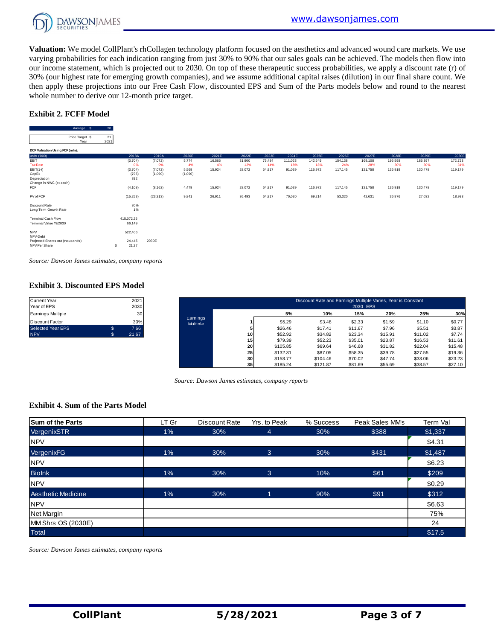

**Valuation:** We model CollPlant's rhCollagen technology platform focused on the aesthetics and advanced wound care markets. We use varying probabilities for each indication ranging from just 30% to 90% that our sales goals can be achieved. The models then flow into our income statement, which is projected out to 2030. On top of these therapeutic success probabilities, we apply a discount rate (r) of 30% (our highest rate for emerging growth companies), and we assume additional capital raises (dilution) in our final share count. We then apply these projections into our Free Cash Flow, discounted EPS and Sum of the Parts models below and round to the nearest whole number to derive our 12-month price target.

#### **Exhibit 2. FCFF Model**

| Average \$                                         | 20         |                      |           |         |        |        |        |         |         |         |         |         |         |         |
|----------------------------------------------------|------------|----------------------|-----------|---------|--------|--------|--------|---------|---------|---------|---------|---------|---------|---------|
| Price Target \$<br>Year                            | 21<br>2021 |                      |           |         |        |        |        |         |         |         |         |         |         |         |
| DCF Valuation Using FCF (mln):                     |            |                      |           |         |        |        |        |         |         |         |         |         |         |         |
| units ('000)                                       |            | 2018A                | 2019A     | 2020E   | 2021E  | 2022E  | 2023E  | 2024E   | 2025E   | 2026E   | 2027E   | 2028E   | 2029E   | 2030E   |
| <b>EBIT</b>                                        |            | (3,704)              | (7,072)   | 5,774   | 16,566 | 31,900 | 75,484 | 111,023 | 142,649 | 154,138 | 169,108 | 195,598 | 186,397 | 172,723 |
| <b>Tax Rate</b>                                    |            | 0%                   | 0%        | 4%      | 4%     | 12%    | 14%    | 18%     | 18%     | 24%     | 28%     | 30%     | 30%     | 31%     |
| $EBIT(1-t)$                                        |            | (3,704)              | (7,072)   | 5,569   | 15,924 | 28,072 | 64,917 | 91,039  | 116,972 | 117,145 | 121,758 | 136,919 | 130,478 | 119,179 |
| CapEx                                              |            | (796)                | (1,090)   | (1,090) |        |        |        |         |         |         |         |         |         |         |
| Depreciation                                       |            | 392                  |           |         |        |        |        |         |         |         |         |         |         |         |
| Change in NWC (excash)                             |            |                      |           |         |        |        |        |         |         |         |         |         |         |         |
| <b>FCF</b>                                         |            | (4, 108)             | (8, 162)  | 4,479   | 15,924 | 28,072 | 64,917 | 91,039  | 116,972 | 117,145 | 121,758 | 136,919 | 130,478 | 119,179 |
| PV of FCF                                          |            | (15, 253)            | (23, 313) | 9,841   | 26,911 | 36,493 | 64,917 | 70,030  | 69,214  | 53,320  | 42,631  | 36,876  | 27,032  | 18,993  |
| Discount Rate<br>Long Term Growth Rate             |            | 30%<br>1%            |           |         |        |        |        |         |         |         |         |         |         |         |
| <b>Terminal Cash Flow</b><br>Terminal Value YE2030 |            | 415,072.35<br>66,149 |           |         |        |        |        |         |         |         |         |         |         |         |
| <b>NPV</b><br>NPV-Debt                             |            | 522,406              |           |         |        |        |        |         |         |         |         |         |         |         |
| Projected Shares out (thousands)<br>NPV Per Share  | s          | 24,445<br>21.37      | 2030E     |         |        |        |        |         |         |         |         |         |         |         |
|                                                    |            |                      |           |         |        |        |        |         |         |         |         |         |         |         |

*Source: Dawson James estimates, company reports*

# **Exhibit 3. Discounted EPS Model** Current Year 2021

| Current Year<br>Year of EPS | 2021<br>2030    |                      |     |          | Discount Rate and Earnings Multiple Varies, Year is Constant | 2030 EPS |         |         |         |
|-----------------------------|-----------------|----------------------|-----|----------|--------------------------------------------------------------|----------|---------|---------|---------|
| Earnings Multiple           | 30 <sup>1</sup> |                      |     | 5%       | 10%                                                          | 15%      | 20%     | 25%     | 30%     |
| Discount Factor             | 30%             | Earnings<br>Multiple |     | \$5.29   | \$3.48                                                       | \$2.33   | \$1.59  | \$1.10  | \$0.77  |
| Selected Year EPS           | 7.66            |                      |     | \$26.46  | \$17.41                                                      | \$11.67  | \$7.96  | \$5.51  | \$3.87  |
| <b>NPV</b>                  | 21.67           |                      | 101 | \$52.92  | \$34.82                                                      | \$23.34  | \$15.91 | \$11.02 | \$7.74  |
|                             |                 |                      | 15  | \$79.39  | \$52.23                                                      | \$35.01  | \$23.87 | \$16.53 | \$11.61 |
|                             |                 |                      | 20  | \$105.85 | \$69.64                                                      | \$46.68  | \$31.82 | \$22.04 | \$15.48 |
|                             |                 |                      | 25  | \$132.31 | \$87.05                                                      | \$58.35  | \$39.78 | \$27.55 | \$19.36 |
|                             |                 |                      | 30  | \$158.77 | \$104.46                                                     | \$70.02  | \$47.74 | \$33.06 | \$23.23 |
|                             |                 |                      | 35  | \$185.24 | \$121.87                                                     | \$81.69  | \$55.69 | \$38.57 | \$27.10 |

*Source: Dawson James estimates, company reports*

#### **Exhibit 4. Sum of the Parts Model**

| <b>Sum of the Parts</b>   | LT Gr | Discount Rate | Yrs. to Peak | % Success | Peak Sales MM's | <b>Term Val</b> |
|---------------------------|-------|---------------|--------------|-----------|-----------------|-----------------|
| VergenixSTR               | 1%    | 30%           | 4            | 30%       | \$388           | \$1,337         |
| <b>NPV</b>                |       |               |              |           |                 | \$4.31          |
| VergenixFG                | $1\%$ | 30%           | 3            | 30%       | \$431           | \$1,487         |
| <b>NPV</b>                |       |               |              |           |                 | \$6.23          |
| <b>Biolnk</b>             | $1\%$ | 30%           | 3            | 10%       | \$61            | \$209           |
| <b>NPV</b>                |       |               |              |           |                 | \$0.29          |
| <b>Aesthetic Medicine</b> | 1%    | 30%           |              | 90%       | \$91            | \$312           |
| <b>NPV</b>                |       |               |              |           |                 | \$6.63          |
| Net Margin                |       |               |              |           |                 | 75%             |
| MM Shrs OS (2030E)        |       |               |              |           |                 | 24              |
| <b>Total</b>              |       |               |              |           |                 | \$17.5          |

*Source: Dawson James estimates, company reports*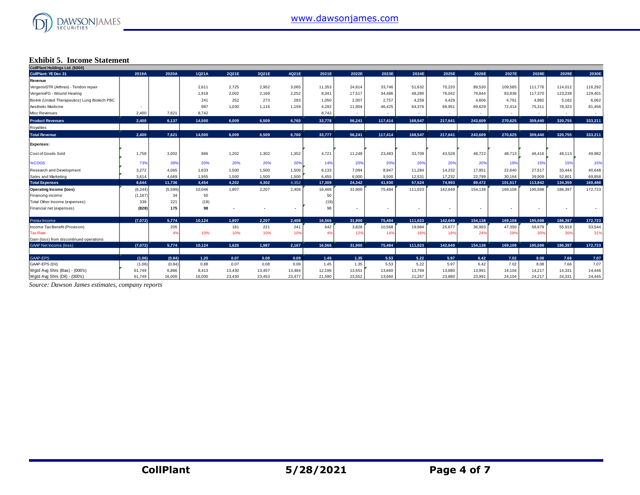

#### **Exhibit 5. Income Statement**

| CollPlant Holdings Ltd. (\$000)               |          |         |        |        |        |        |        |                          |                          |         |         |         |                          |         |                          |         |
|-----------------------------------------------|----------|---------|--------|--------|--------|--------|--------|--------------------------|--------------------------|---------|---------|---------|--------------------------|---------|--------------------------|---------|
| <b>CollPlant: YE Dec 31</b>                   | 2019A    | 2020A   | 1Q21A  | 2Q21E  | 3Q21E  | 4Q21E  | 2021E  | 2022E                    | 2023E                    | 2024E   | 2025E   | 2026E   | 2027E                    | 2028E   | 2029E                    | 2030E   |
| Revenue                                       |          |         |        |        |        |        |        |                          |                          |         |         |         |                          |         |                          |         |
| VergenixSTR (Arthrex) - Tendon repair         |          |         | 2,611  | 2,725  | 2,952  | 3,065  | 11,353 | 24,814                   | 33,746                   | 51,632  | 70,220  | 89,530  | 109,585                  | 111,776 | 114,012                  | 116,292 |
| VergenixFG - Wound Healing                    |          |         | 1,918  | 2,002  | 2,169  | 2,252  | 8,341  | 17,517                   | 34,486                   | 48,280  | 76,042  | 79,844  | 83,836                   | 117,370 | 123,239                  | 129,401 |
| Biolnk (United Therapeutics) Lung Biotech PBC |          |         | 241    | 252    | 273    | 283    | 1,050  | 2,007                    | 2,757                    | 4,259   | 4,429   | 4,606   | 4,791                    | 4,982   | 5,182                    | 6,062   |
| Aesthetic Medicine                            |          |         | 987    | 1,030  | 1,116  | 1,159  | 4,292  | 11,904                   | 46,425                   | 64,376  | 66,951  | 69,629  | 72,414                   | 75,311  | 78,323                   | 81,456  |
| Misc Revenues                                 | 2,400    | 7,621   | 8,742  |        |        |        | 8,742  | $\sim$                   | $\overline{\phantom{a}}$ | $\sim$  | $\sim$  | $\sim$  | $\overline{\phantom{a}}$ | $\sim$  | $\sim$                   | $\sim$  |
| <b>Product Revenues</b>                       | 2,400    | 6,137   | 14,500 | 6,009  | 6,509  | 6,760  | 33,778 | 56,241                   | 117,414                  | 168,547 | 217,641 | 243,609 | 270.625                  | 309,440 | 320.755                  | 333,211 |
| Royalties                                     |          |         |        |        |        |        |        |                          |                          |         |         |         |                          |         |                          |         |
| <b>Total Revenue</b>                          | 2.400    | 7,621   | 14.500 | 6.009  | 6.509  | 6,760  | 33,777 | 56.241                   | 117.414                  | 168.547 | 217,641 | 243.609 | 270.625                  | 309,440 | 320.755                  | 333.211 |
| <b>Expenses:</b>                              |          |         |        |        |        |        |        |                          |                          |         |         |         |                          |         |                          |         |
| Cost of Goods Sold                            | 1,758    | 3,002   | 866    | 1,202  | 1,302  | 1,352  | 4,721  | 11,248                   | 23,483                   | 33,709  | 43,528  | 48,722  | 48,713                   | 46,416  | 48,113                   | 49,982  |
| %COGS                                         | 73%      | 39%     | 20%    | 20%    | 20%    | 20%    | 14%    | 20%                      | 20%                      | 20%     | 20%     | 20%     | 18%                      | 15%     | 15%                      | 15%     |
| Research and Development                      | 3,272    | 4,065   | 1,633  | 1,500  | 1,500  | 1,500  | 6,133  | 7,094                    | 8,947                    | 11,284  | 14,232  | 17,951  | 22,640                   | 27,517  | 33,444                   | 40,648  |
| Sales and Marketing                           | 3,614    | 4.669   | 1,955  | 1,500  | 1.500  | 1,500  | 6,455  | 6,000                    | 9,500                    | 12,531  | 17,232  | 22,799  | 30,164                   | 39,909  | 52,801                   | 69,858  |
| <b>Total Expenses</b>                         | 8.644    | 11,736  | 4,454  | 4.202  | 4,302  | 4,352  | 17,309 | 24,342                   | 41,930                   | 57,524  | 74,993  | 89,472  | 101,517                  | 113,842 | 134.359                  | 160,488 |
| <b>Operating Income (loss)</b>                | (6, 244) | (5,599) | 10,046 | 1,807  | 2,207  | 2,408  | 16,468 | 31,900                   | 75,484                   | 111,023 | 142,649 | 154,138 | 169,108                  | 195,598 | 186,397                  | 172,723 |
| Financing income                              | (1, 167) | 34      | 50     |        |        |        | 50     |                          |                          |         |         |         |                          |         |                          |         |
| Total Other Income (expenses)                 | 339      | 221     | (19)   |        |        |        | (19)   |                          |                          |         |         |         |                          |         |                          |         |
| Financial net (expenses)                      | (828)    | 175     | 98     |        |        |        | 98     | $\overline{\phantom{a}}$ |                          |         |         |         |                          | ٠       | $\overline{\phantom{a}}$ |         |
| Pretax Income                                 | (7,072)  | 5,774   | 10.124 | 1.807  | 2.207  | 2,408  | 16.566 | 31.900                   | 75,484                   | 111.023 | 142.649 | 154,138 | 169,108                  | 195.598 | 186.397                  | 172,723 |
| Income Tax Benefit (Provision)                |          | 205     |        | 181    | 221    | 241    | 642    | 3,828                    | 10,568                   | 19,984  | 25,677  | 36,993  | 47,350                   | 58,679  | 55,919                   | 53,544  |
| <b>Tax Rate</b>                               |          | 4%      | 10%    | 10%    | 10%    | 10%    | 4%     | 12%                      | 14%                      | 18%     | 18%     | 24%     | 28%                      | 30%     | 30%                      | 319     |
| Gain (loss) from discontinued operations      |          |         |        |        |        |        |        |                          |                          |         |         |         |                          |         |                          |         |
| <b>GAAP Net Income (loss)</b>                 | (7,072)  | 5,774   | 10,124 | 1.626  | 1.987  | 2,167  | 16,566 | 31,900                   | 75,484                   | 111.023 | 142,649 | 154,138 | 169,108                  | 195,598 | 186,397                  | 172,723 |
| GAAP-EPS                                      | (1.06)   | (0.84)  | 1.20   | 0.07   | 0.08   | 0.09   | 1.45   | 1.35                     | 5.53                     | 5.22    | 5.97    | 6.42    | 7.02                     | 8.08    | 7.66                     | 7.07    |
| GAAP-EPS (Dil)                                | (1.06)   | (0.84)  | 0.88   | 0.07   | 0.08   | 0.09   | 1.45   | 1.35                     | 5.53                     | 5.22    | 5.97    | 6.42    | 7.02                     | 8.08    | 7.66                     | 7.07    |
| Wgtd Avg Shrs (Bas) - (000's)                 | 61,749   | 6,886   | 8,413  | 13,430 | 13,457 | 13,484 | 12,196 | 13,551                   | 13,660                   | 13,769  | 13,880  | 13,991  | 14,104                   | 14,217  | 14,331                   | 14,446  |
| Wgtd Avg Shrs (Dil) - (000's)                 | 61.749   | 16,000  | 16,000 | 23,430 | 23,453 | 23,477 | 21,590 | 23,552                   | 13.660                   | 21,267  | 23.880  | 23,991  | 24.104                   | 24,217  | 24,331                   | 24,445  |

*Source: Dawson James estimates, company reports*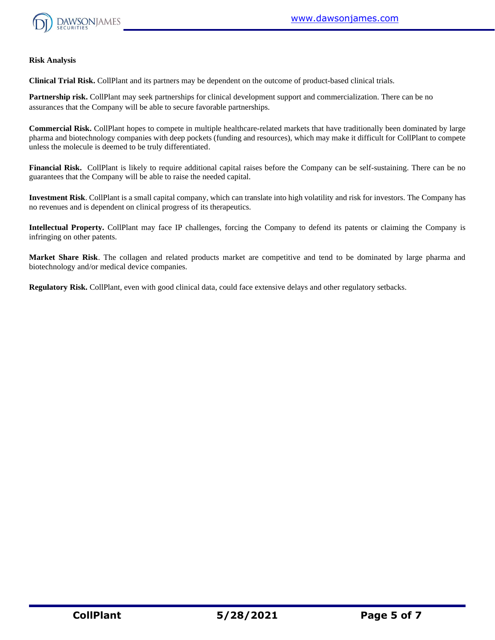

#### **Risk Analysis**

**Clinical Trial Risk.** CollPlant and its partners may be dependent on the outcome of product-based clinical trials.

**Partnership risk.** CollPlant may seek partnerships for clinical development support and commercialization. There can be no assurances that the Company will be able to secure favorable partnerships.

**Commercial Risk.** CollPlant hopes to compete in multiple healthcare-related markets that have traditionally been dominated by large pharma and biotechnology companies with deep pockets (funding and resources), which may make it difficult for CollPlant to compete unless the molecule is deemed to be truly differentiated.

**Financial Risk.** CollPlant is likely to require additional capital raises before the Company can be self-sustaining. There can be no guarantees that the Company will be able to raise the needed capital.

**Investment Risk**. CollPlant is a small capital company, which can translate into high volatility and risk for investors. The Company has no revenues and is dependent on clinical progress of its therapeutics.

**Intellectual Property.** CollPlant may face IP challenges, forcing the Company to defend its patents or claiming the Company is infringing on other patents.

**Market Share Risk**. The collagen and related products market are competitive and tend to be dominated by large pharma and biotechnology and/or medical device companies.

**Regulatory Risk.** CollPlant, even with good clinical data, could face extensive delays and other regulatory setbacks.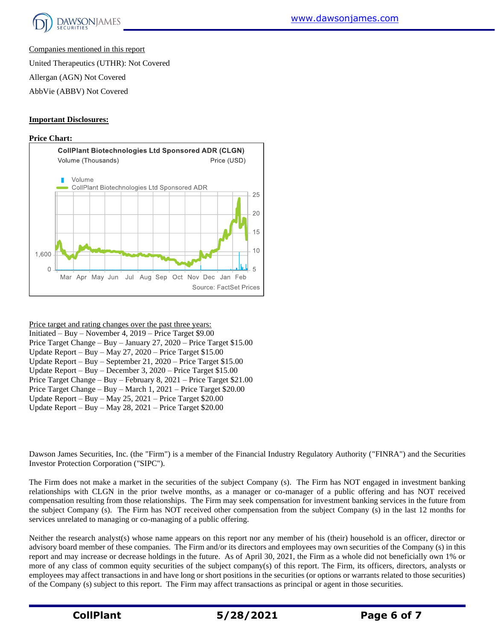

Companies mentioned in this report

United Therapeutics (UTHR): Not Covered

Allergan (AGN) Not Covered

AbbVie (ABBV) Not Covered

# **Important Disclosures:**

#### **Price Chart:**



Price target and rating changes over the past three years:

| Initiated – Buy – November 4, $2019$ – Price Target \$9.00          |
|---------------------------------------------------------------------|
| Price Target Change - Buy - January 27, 2020 - Price Target \$15.00 |
| Update Report - Buy - May 27, 2020 - Price Target $$15.00$          |
| Update Report - Buy - September 21, 2020 - Price Target \$15.00     |
| Update Report – Buy – December 3, $2020$ – Price Target \$15.00     |
| Price Target Change - Buy - February 8, 2021 - Price Target \$21.00 |
| Price Target Change – Buy – March 1, 2021 – Price Target $$20.00$   |
| Update Report – Buy – May 25, 2021 – Price Target $$20.00$          |
| Update Report – Buy – May 28, 2021 – Price Target $$20.00$          |
|                                                                     |

Dawson James Securities, Inc. (the "Firm") is a member of the Financial Industry Regulatory Authority ("FINRA") and the Securities Investor Protection Corporation ("SIPC").

The Firm does not make a market in the securities of the subject Company (s). The Firm has NOT engaged in investment banking relationships with CLGN in the prior twelve months, as a manager or co-manager of a public offering and has NOT received compensation resulting from those relationships. The Firm may seek compensation for investment banking services in the future from the subject Company (s). The Firm has NOT received other compensation from the subject Company (s) in the last 12 months for services unrelated to managing or co-managing of a public offering.

Neither the research analyst(s) whose name appears on this report nor any member of his (their) household is an officer, director or advisory board member of these companies. The Firm and/or its directors and employees may own securities of the Company (s) in this report and may increase or decrease holdings in the future. As of April 30, 2021, the Firm as a whole did not beneficially own 1% or more of any class of common equity securities of the subject company(s) of this report. The Firm, its officers, directors, analysts or employees may affect transactions in and have long or short positions in the securities (or options or warrants related to those securities) of the Company (s) subject to this report. The Firm may affect transactions as principal or agent in those securities.